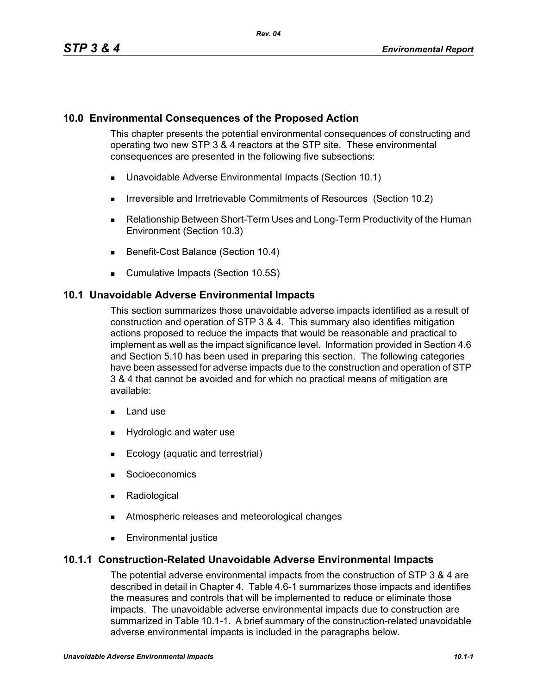### **10.0 Environmental Consequences of the Proposed Action**

This chapter presents the potential environmental consequences of constructing and operating two new STP 3 & 4 reactors at the STP site. These environmental consequences are presented in the following five subsections:

- **Unavoidable Adverse Environmental Impacts (Section 10.1)**
- **IFFELD** Irreversible and Irretrievable Commitments of Resources (Section 10.2)
- Relationship Between Short-Term Uses and Long-Term Productivity of the Human Environment (Section 10.3)
- Benefit-Cost Balance (Section 10.4)
- **Cumulative Impacts (Section 10.5S)**

#### **10.1 Unavoidable Adverse Environmental Impacts**

This section summarizes those unavoidable adverse impacts identified as a result of construction and operation of STP 3 & 4. This summary also identifies mitigation actions proposed to reduce the impacts that would be reasonable and practical to implement as well as the impact significance level. Information provided in Section 4.6 and Section 5.10 has been used in preparing this section. The following categories have been assessed for adverse impacts due to the construction and operation of STP 3 & 4 that cannot be avoided and for which no practical means of mitigation are available:

- **Land use**
- **Hydrologic and water use**
- Ecology (aquatic and terrestrial)
- **Socioeconomics**
- **Radiological**
- Atmospheric releases and meteorological changes
- **Environmental justice**

### **10.1.1 Construction-Related Unavoidable Adverse Environmental Impacts**

The potential adverse environmental impacts from the construction of STP 3 & 4 are described in detail in Chapter 4. Table 4.6-1 summarizes those impacts and identifies the measures and controls that will be implemented to reduce or eliminate those impacts. The unavoidable adverse environmental impacts due to construction are summarized in Table 10.1-1. A brief summary of the construction-related unavoidable adverse environmental impacts is included in the paragraphs below.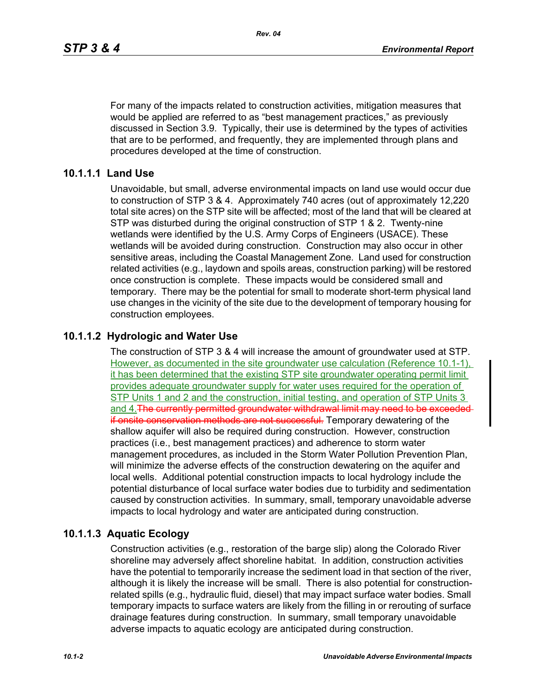For many of the impacts related to construction activities, mitigation measures that would be applied are referred to as "best management practices," as previously discussed in Section 3.9. Typically, their use is determined by the types of activities that are to be performed, and frequently, they are implemented through plans and procedures developed at the time of construction.

#### **10.1.1.1 Land Use**

Unavoidable, but small, adverse environmental impacts on land use would occur due to construction of STP 3 & 4. Approximately 740 acres (out of approximately 12,220 total site acres) on the STP site will be affected; most of the land that will be cleared at STP was disturbed during the original construction of STP 1 & 2. Twenty-nine wetlands were identified by the U.S. Army Corps of Engineers (USACE). These wetlands will be avoided during construction. Construction may also occur in other sensitive areas, including the Coastal Management Zone. Land used for construction related activities (e.g., laydown and spoils areas, construction parking) will be restored once construction is complete. These impacts would be considered small and temporary. There may be the potential for small to moderate short-term physical land use changes in the vicinity of the site due to the development of temporary housing for construction employees.

### **10.1.1.2 Hydrologic and Water Use**

The construction of STP 3 & 4 will increase the amount of groundwater used at STP. However, as documented in the site groundwater use calculation (Reference 10.1-1), it has been determined that the existing STP site groundwater operating permit limit provides adequate groundwater supply for water uses required for the operation of STP Units 1 and 2 and the construction, initial testing, and operation of STP Units 3 and 4. The currently permitted groundwater withdrawal limit may need to be exceeded if onsite conservation methods are not successful. Temporary dewatering of the shallow aquifer will also be required during construction. However, construction practices (i.e., best management practices) and adherence to storm water management procedures, as included in the Storm Water Pollution Prevention Plan, will minimize the adverse effects of the construction dewatering on the aquifer and local wells. Additional potential construction impacts to local hydrology include the potential disturbance of local surface water bodies due to turbidity and sedimentation caused by construction activities. In summary, small, temporary unavoidable adverse impacts to local hydrology and water are anticipated during construction.

#### **10.1.1.3 Aquatic Ecology**

Construction activities (e.g., restoration of the barge slip) along the Colorado River shoreline may adversely affect shoreline habitat. In addition, construction activities have the potential to temporarily increase the sediment load in that section of the river, although it is likely the increase will be small. There is also potential for constructionrelated spills (e.g., hydraulic fluid, diesel) that may impact surface water bodies. Small temporary impacts to surface waters are likely from the filling in or rerouting of surface drainage features during construction. In summary, small temporary unavoidable adverse impacts to aquatic ecology are anticipated during construction.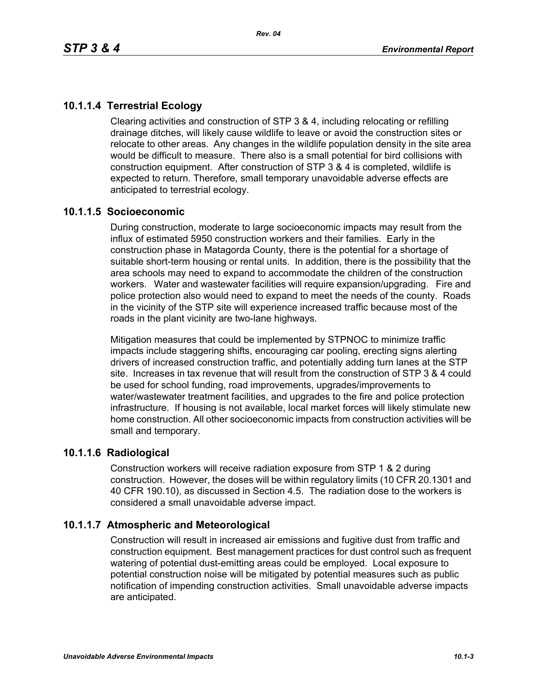# **10.1.1.4 Terrestrial Ecology**

Clearing activities and construction of STP 3 & 4, including relocating or refilling drainage ditches, will likely cause wildlife to leave or avoid the construction sites or relocate to other areas. Any changes in the wildlife population density in the site area would be difficult to measure. There also is a small potential for bird collisions with construction equipment. After construction of STP 3 & 4 is completed, wildlife is expected to return. Therefore, small temporary unavoidable adverse effects are anticipated to terrestrial ecology.

#### **10.1.1.5 Socioeconomic**

During construction, moderate to large socioeconomic impacts may result from the influx of estimated 5950 construction workers and their families. Early in the construction phase in Matagorda County, there is the potential for a shortage of suitable short-term housing or rental units. In addition, there is the possibility that the area schools may need to expand to accommodate the children of the construction workers. Water and wastewater facilities will require expansion/upgrading. Fire and police protection also would need to expand to meet the needs of the county. Roads in the vicinity of the STP site will experience increased traffic because most of the roads in the plant vicinity are two-lane highways.

Mitigation measures that could be implemented by STPNOC to minimize traffic impacts include staggering shifts, encouraging car pooling, erecting signs alerting drivers of increased construction traffic, and potentially adding turn lanes at the STP site. Increases in tax revenue that will result from the construction of STP 3 & 4 could be used for school funding, road improvements, upgrades/improvements to water/wastewater treatment facilities, and upgrades to the fire and police protection infrastructure. If housing is not available, local market forces will likely stimulate new home construction. All other socioeconomic impacts from construction activities will be small and temporary.

#### **10.1.1.6 Radiological**

Construction workers will receive radiation exposure from STP 1 & 2 during construction. However, the doses will be within regulatory limits (10 CFR 20.1301 and 40 CFR 190.10), as discussed in Section 4.5. The radiation dose to the workers is considered a small unavoidable adverse impact.

### **10.1.1.7 Atmospheric and Meteorological**

Construction will result in increased air emissions and fugitive dust from traffic and construction equipment. Best management practices for dust control such as frequent watering of potential dust-emitting areas could be employed. Local exposure to potential construction noise will be mitigated by potential measures such as public notification of impending construction activities. Small unavoidable adverse impacts are anticipated.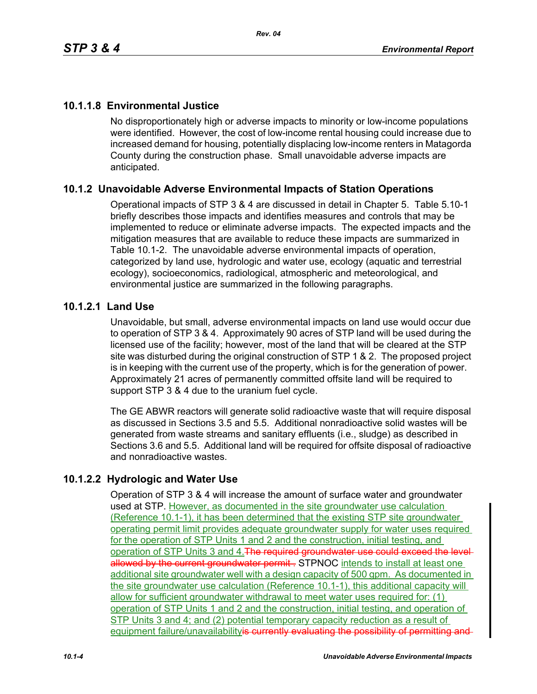# **10.1.1.8 Environmental Justice**

No disproportionately high or adverse impacts to minority or low-income populations were identified. However, the cost of low-income rental housing could increase due to increased demand for housing, potentially displacing low-income renters in Matagorda County during the construction phase. Small unavoidable adverse impacts are anticipated.

### **10.1.2 Unavoidable Adverse Environmental Impacts of Station Operations**

Operational impacts of STP 3 & 4 are discussed in detail in Chapter 5. Table 5.10-1 briefly describes those impacts and identifies measures and controls that may be implemented to reduce or eliminate adverse impacts. The expected impacts and the mitigation measures that are available to reduce these impacts are summarized in Table 10.1-2. The unavoidable adverse environmental impacts of operation, categorized by land use, hydrologic and water use, ecology (aquatic and terrestrial ecology), socioeconomics, radiological, atmospheric and meteorological, and environmental justice are summarized in the following paragraphs.

#### **10.1.2.1 Land Use**

Unavoidable, but small, adverse environmental impacts on land use would occur due to operation of STP 3 & 4. Approximately 90 acres of STP land will be used during the licensed use of the facility; however, most of the land that will be cleared at the STP site was disturbed during the original construction of STP 1 & 2. The proposed project is in keeping with the current use of the property, which is for the generation of power. Approximately 21 acres of permanently committed offsite land will be required to support STP 3 & 4 due to the uranium fuel cycle.

The GE ABWR reactors will generate solid radioactive waste that will require disposal as discussed in Sections 3.5 and 5.5. Additional nonradioactive solid wastes will be generated from waste streams and sanitary effluents (i.e., sludge) as described in Sections 3.6 and 5.5. Additional land will be required for offsite disposal of radioactive and nonradioactive wastes.

### **10.1.2.2 Hydrologic and Water Use**

Operation of STP 3 & 4 will increase the amount of surface water and groundwater used at STP. However, as documented in the site groundwater use calculation (Reference 10.1-1), it has been determined that the existing STP site groundwater operating permit limit provides adequate groundwater supply for water uses required for the operation of STP Units 1 and 2 and the construction, initial testing, and operation of STP Units 3 and 4. The required groundwater use could exceed the levelallowed by the current groundwater permit . STPNOC intends to install at least one additional site groundwater well with a design capacity of 500 gpm. As documented in the site groundwater use calculation (Reference 10.1-1), this additional capacity will allow for sufficient groundwater withdrawal to meet water uses required for: (1) operation of STP Units 1 and 2 and the construction, initial testing, and operation of STP Units 3 and 4; and (2) potential temporary capacity reduction as a result of equipment failure/unavailabilityis currently evaluating the possibility of permitting and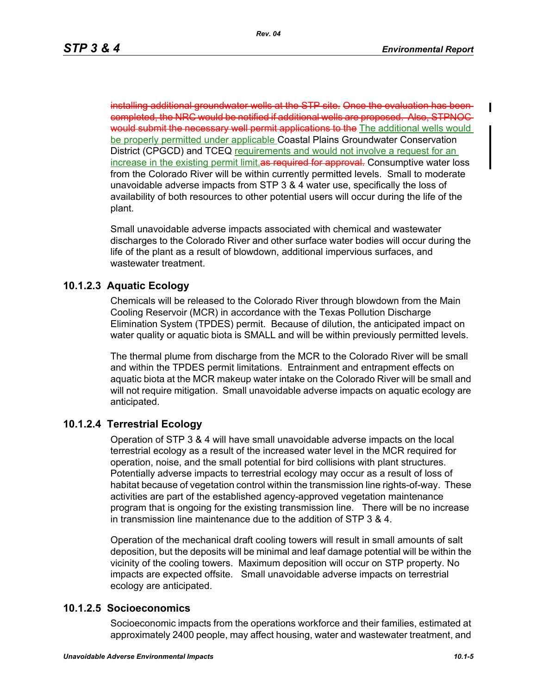installing additional groundwater wells at the STP site. Once the evaluation has been completed, the NRC would be notified if additional wells are proposed. Also, STPNOC would submit the necessary well permit applications to the The additional wells would be properly permitted under applicable Coastal Plains Groundwater Conservation District (CPGCD) and TCEQ requirements and would not involve a request for an increase in the existing permit limit as required for approval. Consumptive water loss from the Colorado River will be within currently permitted levels. Small to moderate unavoidable adverse impacts from STP 3 & 4 water use, specifically the loss of availability of both resources to other potential users will occur during the life of the plant.

Small unavoidable adverse impacts associated with chemical and wastewater discharges to the Colorado River and other surface water bodies will occur during the life of the plant as a result of blowdown, additional impervious surfaces, and wastewater treatment.

#### **10.1.2.3 Aquatic Ecology**

Chemicals will be released to the Colorado River through blowdown from the Main Cooling Reservoir (MCR) in accordance with the Texas Pollution Discharge Elimination System (TPDES) permit. Because of dilution, the anticipated impact on water quality or aquatic biota is SMALL and will be within previously permitted levels.

The thermal plume from discharge from the MCR to the Colorado River will be small and within the TPDES permit limitations. Entrainment and entrapment effects on aquatic biota at the MCR makeup water intake on the Colorado River will be small and will not require mitigation. Small unavoidable adverse impacts on aquatic ecology are anticipated.

### **10.1.2.4 Terrestrial Ecology**

Operation of STP 3 & 4 will have small unavoidable adverse impacts on the local terrestrial ecology as a result of the increased water level in the MCR required for operation, noise, and the small potential for bird collisions with plant structures. Potentially adverse impacts to terrestrial ecology may occur as a result of loss of habitat because of vegetation control within the transmission line rights-of-way. These activities are part of the established agency-approved vegetation maintenance program that is ongoing for the existing transmission line. There will be no increase in transmission line maintenance due to the addition of STP 3 & 4.

Operation of the mechanical draft cooling towers will result in small amounts of salt deposition, but the deposits will be minimal and leaf damage potential will be within the vicinity of the cooling towers. Maximum deposition will occur on STP property. No impacts are expected offsite. Small unavoidable adverse impacts on terrestrial ecology are anticipated.

#### **10.1.2.5 Socioeconomics**

Socioeconomic impacts from the operations workforce and their families, estimated at approximately 2400 people, may affect housing, water and wastewater treatment, and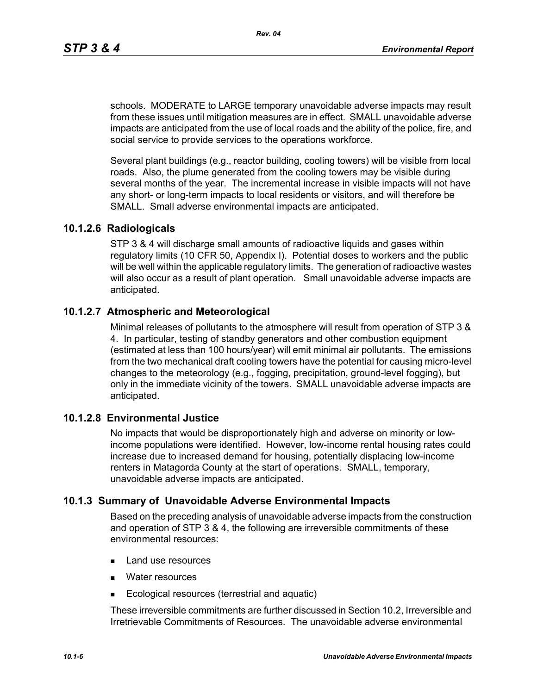schools. MODERATE to LARGE temporary unavoidable adverse impacts may result from these issues until mitigation measures are in effect. SMALL unavoidable adverse impacts are anticipated from the use of local roads and the ability of the police, fire, and social service to provide services to the operations workforce.

Several plant buildings (e.g., reactor building, cooling towers) will be visible from local roads. Also, the plume generated from the cooling towers may be visible during several months of the year. The incremental increase in visible impacts will not have any short- or long-term impacts to local residents or visitors, and will therefore be SMALL. Small adverse environmental impacts are anticipated.

#### **10.1.2.6 Radiologicals**

STP 3 & 4 will discharge small amounts of radioactive liquids and gases within regulatory limits (10 CFR 50, Appendix I). Potential doses to workers and the public will be well within the applicable regulatory limits. The generation of radioactive wastes will also occur as a result of plant operation. Small unavoidable adverse impacts are anticipated.

#### **10.1.2.7 Atmospheric and Meteorological**

Minimal releases of pollutants to the atmosphere will result from operation of STP 3 & 4. In particular, testing of standby generators and other combustion equipment (estimated at less than 100 hours/year) will emit minimal air pollutants. The emissions from the two mechanical draft cooling towers have the potential for causing micro-level changes to the meteorology (e.g., fogging, precipitation, ground-level fogging), but only in the immediate vicinity of the towers. SMALL unavoidable adverse impacts are anticipated.

#### **10.1.2.8 Environmental Justice**

No impacts that would be disproportionately high and adverse on minority or lowincome populations were identified. However, low-income rental housing rates could increase due to increased demand for housing, potentially displacing low-income renters in Matagorda County at the start of operations. SMALL, temporary, unavoidable adverse impacts are anticipated.

#### **10.1.3 Summary of Unavoidable Adverse Environmental Impacts**

Based on the preceding analysis of unavoidable adverse impacts from the construction and operation of STP 3 & 4, the following are irreversible commitments of these environmental resources:

- **Land use resources**
- **Nater resources**
- Ecological resources (terrestrial and aquatic)

These irreversible commitments are further discussed in Section 10.2, Irreversible and Irretrievable Commitments of Resources. The unavoidable adverse environmental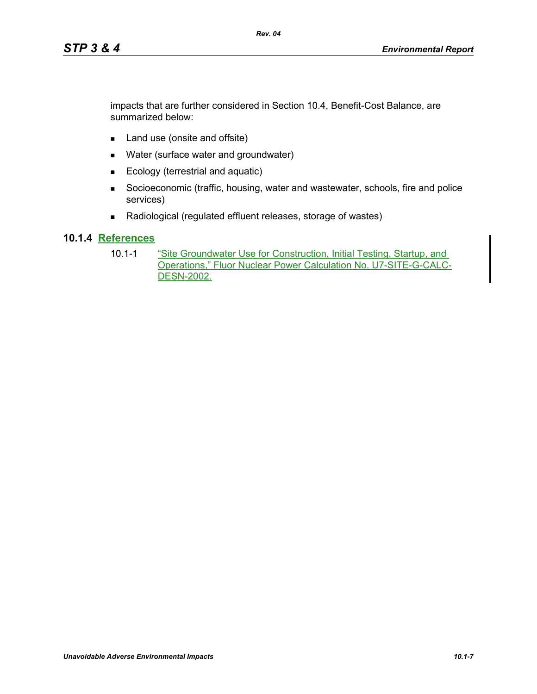impacts that are further considered in Section 10.4, Benefit-Cost Balance, are summarized below:

- Land use (onsite and offsite)
- **Nater (surface water and groundwater)**
- Ecology (terrestrial and aquatic)
- Socioeconomic (traffic, housing, water and wastewater, schools, fire and police services)
- Radiological (regulated effluent releases, storage of wastes)

# **10.1.4 References**

10.1-1 "Site Groundwater Use for Construction, Initial Testing, Startup, and Operations," Fluor Nuclear Power Calculation No. U7-SITE-G-CALC-DESN-2002.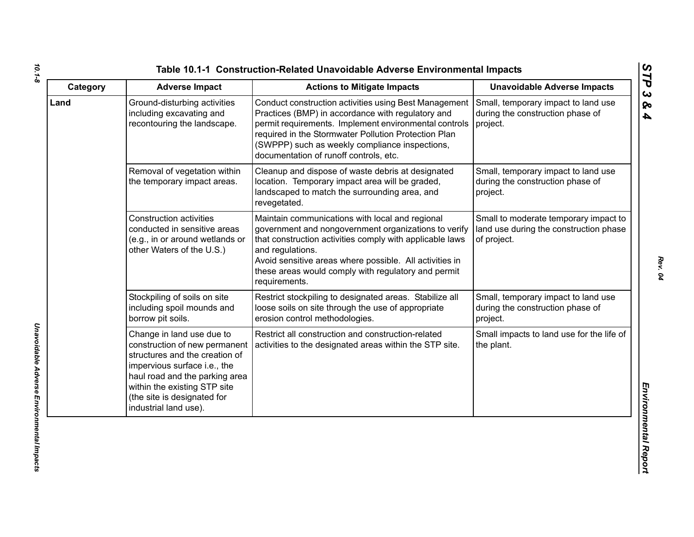| Category | <b>Adverse Impact</b>                                                                                                                                                                                                                                  | <b>Actions to Mitigate Impacts</b>                                                                                                                                                                                                                                                                                         | <b>Unavoidable Adverse Impacts</b>                                                             |
|----------|--------------------------------------------------------------------------------------------------------------------------------------------------------------------------------------------------------------------------------------------------------|----------------------------------------------------------------------------------------------------------------------------------------------------------------------------------------------------------------------------------------------------------------------------------------------------------------------------|------------------------------------------------------------------------------------------------|
| Land     | Ground-disturbing activities<br>including excavating and<br>recontouring the landscape.                                                                                                                                                                | Conduct construction activities using Best Management<br>Practices (BMP) in accordance with regulatory and<br>permit requirements. Implement environmental controls<br>required in the Stormwater Pollution Protection Plan<br>(SWPPP) such as weekly compliance inspections,<br>documentation of runoff controls, etc.    | Small, temporary impact to land use<br>during the construction phase of<br>project.            |
|          | Removal of vegetation within<br>the temporary impact areas.                                                                                                                                                                                            | Cleanup and dispose of waste debris at designated<br>location. Temporary impact area will be graded,<br>landscaped to match the surrounding area, and<br>revegetated.                                                                                                                                                      | Small, temporary impact to land use<br>during the construction phase of<br>project.            |
|          | <b>Construction activities</b><br>conducted in sensitive areas<br>(e.g., in or around wetlands or<br>other Waters of the U.S.)                                                                                                                         | Maintain communications with local and regional<br>government and nongovernment organizations to verify<br>that construction activities comply with applicable laws<br>and regulations.<br>Avoid sensitive areas where possible. All activities in<br>these areas would comply with regulatory and permit<br>requirements. | Small to moderate temporary impact to<br>land use during the construction phase<br>of project. |
|          | Stockpiling of soils on site<br>including spoil mounds and<br>borrow pit soils.                                                                                                                                                                        | Restrict stockpiling to designated areas. Stabilize all<br>loose soils on site through the use of appropriate<br>erosion control methodologies.                                                                                                                                                                            | Small, temporary impact to land use<br>during the construction phase of<br>project.            |
|          | Change in land use due to<br>construction of new permanent<br>structures and the creation of<br>impervious surface i.e., the<br>haul road and the parking area<br>within the existing STP site<br>(the site is designated for<br>industrial land use). | Restrict all construction and construction-related<br>activities to the designated areas within the STP site.                                                                                                                                                                                                              | Small impacts to land use for the life of<br>the plant.                                        |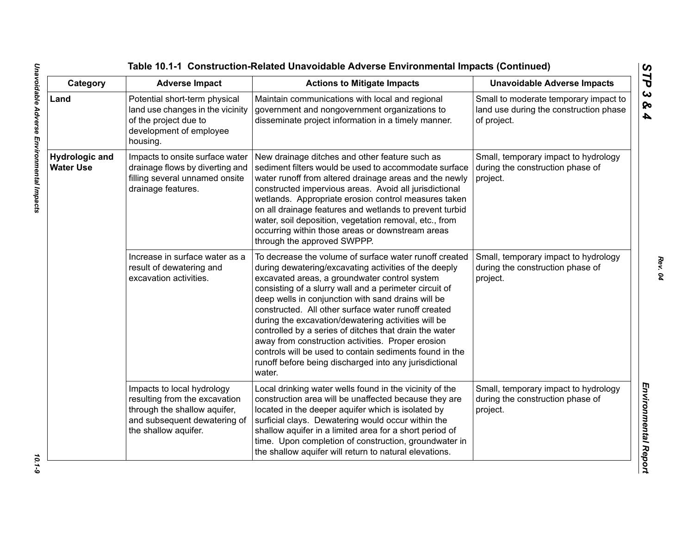| Category                                  | <b>Adverse Impact</b>                                                                                                                               | <b>Actions to Mitigate Impacts</b>                                                                                                                                                                                                                                                                                                                                                                                                                                                                                                                                                                                                           | <b>Unavoidable Adverse Impacts</b>                                                             |
|-------------------------------------------|-----------------------------------------------------------------------------------------------------------------------------------------------------|----------------------------------------------------------------------------------------------------------------------------------------------------------------------------------------------------------------------------------------------------------------------------------------------------------------------------------------------------------------------------------------------------------------------------------------------------------------------------------------------------------------------------------------------------------------------------------------------------------------------------------------------|------------------------------------------------------------------------------------------------|
| Land                                      | Potential short-term physical<br>land use changes in the vicinity<br>of the project due to<br>development of employee<br>housing.                   | Maintain communications with local and regional<br>government and nongovernment organizations to<br>disseminate project information in a timely manner.                                                                                                                                                                                                                                                                                                                                                                                                                                                                                      | Small to moderate temporary impact to<br>land use during the construction phase<br>of project. |
| <b>Hydrologic and</b><br><b>Water Use</b> | Impacts to onsite surface water<br>drainage flows by diverting and<br>filling several unnamed onsite<br>drainage features.                          | New drainage ditches and other feature such as<br>sediment filters would be used to accommodate surface<br>water runoff from altered drainage areas and the newly<br>constructed impervious areas. Avoid all jurisdictional<br>wetlands. Appropriate erosion control measures taken<br>on all drainage features and wetlands to prevent turbid<br>water, soil deposition, vegetation removal, etc., from<br>occurring within those areas or downstream areas<br>through the approved SWPPP.                                                                                                                                                  | Small, temporary impact to hydrology<br>during the construction phase of<br>project.           |
|                                           | Increase in surface water as a<br>result of dewatering and<br>excavation activities.                                                                | To decrease the volume of surface water runoff created<br>during dewatering/excavating activities of the deeply<br>excavated areas, a groundwater control system<br>consisting of a slurry wall and a perimeter circuit of<br>deep wells in conjunction with sand drains will be<br>constructed. All other surface water runoff created<br>during the excavation/dewatering activities will be<br>controlled by a series of ditches that drain the water<br>away from construction activities. Proper erosion<br>controls will be used to contain sediments found in the<br>runoff before being discharged into any jurisdictional<br>water. | Small, temporary impact to hydrology<br>during the construction phase of<br>project.           |
|                                           | Impacts to local hydrology<br>resulting from the excavation<br>through the shallow aquifer,<br>and subsequent dewatering of<br>the shallow aquifer. | Local drinking water wells found in the vicinity of the<br>construction area will be unaffected because they are<br>located in the deeper aquifer which is isolated by<br>surficial clays. Dewatering would occur within the<br>shallow aquifer in a limited area for a short period of<br>time. Upon completion of construction, groundwater in<br>the shallow aquifer will return to natural elevations.                                                                                                                                                                                                                                   | Small, temporary impact to hydrology<br>during the construction phase of<br>project.           |

 $10.1-9$ 

*Rev. 04*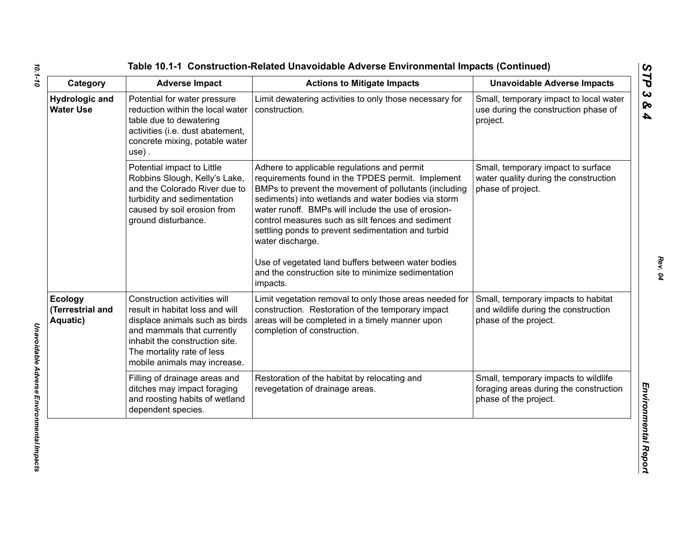| Category                                       | <b>Adverse Impact</b>                                                                                                                                                                                                           | <b>Actions to Mitigate Impacts</b>                                                                                                                                                                                                                                                                                                                                                                                                                                                                                              | <b>Unavoidable Adverse Impacts</b>                                                                      |
|------------------------------------------------|---------------------------------------------------------------------------------------------------------------------------------------------------------------------------------------------------------------------------------|---------------------------------------------------------------------------------------------------------------------------------------------------------------------------------------------------------------------------------------------------------------------------------------------------------------------------------------------------------------------------------------------------------------------------------------------------------------------------------------------------------------------------------|---------------------------------------------------------------------------------------------------------|
| <b>Hydrologic and</b><br><b>Water Use</b>      | Potential for water pressure<br>reduction within the local water<br>table due to dewatering<br>activities (i.e. dust abatement,<br>concrete mixing, potable water<br>$use)$ .                                                   | Limit dewatering activities to only those necessary for<br>construction.                                                                                                                                                                                                                                                                                                                                                                                                                                                        | Small, temporary impact to local water<br>use during the construction phase of<br>project.              |
|                                                | Potential impact to Little<br>Robbins Slough, Kelly's Lake,<br>and the Colorado River due to<br>turbidity and sedimentation<br>caused by soil erosion from<br>ground disturbance.                                               | Adhere to applicable regulations and permit<br>requirements found in the TPDES permit. Implement<br>BMPs to prevent the movement of pollutants (including<br>sediments) into wetlands and water bodies via storm<br>water runoff. BMPs will include the use of erosion-<br>control measures such as silt fences and sediment<br>settling ponds to prevent sedimentation and turbid<br>water discharge.<br>Use of vegetated land buffers between water bodies<br>and the construction site to minimize sedimentation<br>impacts. | Small, temporary impact to surface<br>water quality during the construction<br>phase of project.        |
| <b>Ecology</b><br>(Terrestrial and<br>Aquatic) | Construction activities will<br>result in habitat loss and will<br>displace animals such as birds<br>and mammals that currently<br>inhabit the construction site.<br>The mortality rate of less<br>mobile animals may increase. | Limit vegetation removal to only those areas needed for<br>construction. Restoration of the temporary impact<br>areas will be completed in a timely manner upon<br>completion of construction.                                                                                                                                                                                                                                                                                                                                  | Small, temporary impacts to habitat<br>and wildlife during the construction<br>phase of the project.    |
|                                                | Filling of drainage areas and<br>ditches may impact foraging<br>and roosting habits of wetland<br>dependent species.                                                                                                            | Restoration of the habitat by relocating and<br>revegetation of drainage areas.                                                                                                                                                                                                                                                                                                                                                                                                                                                 | Small, temporary impacts to wildlife<br>foraging areas during the construction<br>phase of the project. |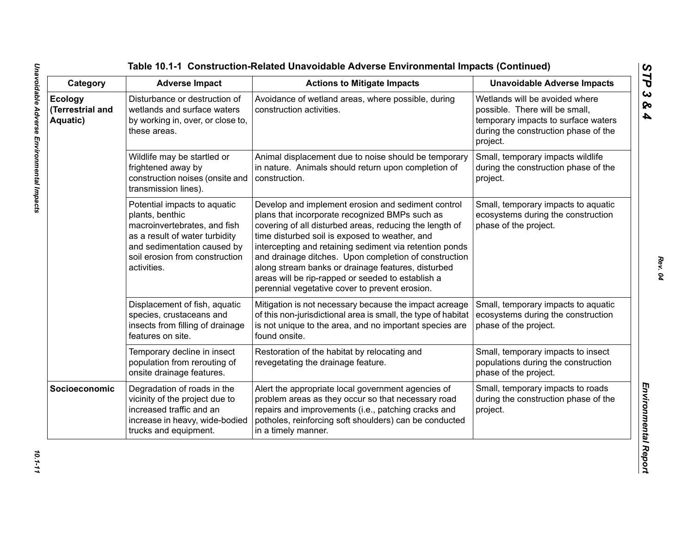| Category                                | <b>Adverse Impact</b>                                                                                                                                                                             | <b>Actions to Mitigate Impacts</b>                                                                                                                                                                                                                                                                                                                                                                                                                                                                 | <b>Unavoidable Adverse Impacts</b>                                                                                                                          |
|-----------------------------------------|---------------------------------------------------------------------------------------------------------------------------------------------------------------------------------------------------|----------------------------------------------------------------------------------------------------------------------------------------------------------------------------------------------------------------------------------------------------------------------------------------------------------------------------------------------------------------------------------------------------------------------------------------------------------------------------------------------------|-------------------------------------------------------------------------------------------------------------------------------------------------------------|
| Ecology<br>(Terrestrial and<br>Aquatic) | Disturbance or destruction of<br>wetlands and surface waters<br>by working in, over, or close to,<br>these areas.                                                                                 | Avoidance of wetland areas, where possible, during<br>construction activities.                                                                                                                                                                                                                                                                                                                                                                                                                     | Wetlands will be avoided where<br>possible. There will be small,<br>temporary impacts to surface waters<br>during the construction phase of the<br>project. |
|                                         | Wildlife may be startled or<br>frightened away by<br>construction noises (onsite and<br>transmission lines).                                                                                      | Animal displacement due to noise should be temporary<br>in nature. Animals should return upon completion of<br>construction.                                                                                                                                                                                                                                                                                                                                                                       | Small, temporary impacts wildlife<br>during the construction phase of the<br>project.                                                                       |
|                                         | Potential impacts to aquatic<br>plants, benthic<br>macroinvertebrates, and fish<br>as a result of water turbidity<br>and sedimentation caused by<br>soil erosion from construction<br>activities. | Develop and implement erosion and sediment control<br>plans that incorporate recognized BMPs such as<br>covering of all disturbed areas, reducing the length of<br>time disturbed soil is exposed to weather, and<br>intercepting and retaining sediment via retention ponds<br>and drainage ditches. Upon completion of construction<br>along stream banks or drainage features, disturbed<br>areas will be rip-rapped or seeded to establish a<br>perennial vegetative cover to prevent erosion. | Small, temporary impacts to aquatic<br>ecosystems during the construction<br>phase of the project.                                                          |
|                                         | Displacement of fish, aquatic<br>species, crustaceans and<br>insects from filling of drainage<br>features on site.                                                                                | Mitigation is not necessary because the impact acreage<br>of this non-jurisdictional area is small, the type of habitat<br>is not unique to the area, and no important species are<br>found onsite.                                                                                                                                                                                                                                                                                                | Small, temporary impacts to aquatic<br>ecosystems during the construction<br>phase of the project.                                                          |
|                                         | Temporary decline in insect<br>population from rerouting of<br>onsite drainage features.                                                                                                          | Restoration of the habitat by relocating and<br>revegetating the drainage feature.                                                                                                                                                                                                                                                                                                                                                                                                                 | Small, temporary impacts to insect<br>populations during the construction<br>phase of the project.                                                          |
| Socioeconomic                           | Degradation of roads in the<br>vicinity of the project due to<br>increased traffic and an<br>increase in heavy, wide-bodied<br>trucks and equipment.                                              | Alert the appropriate local government agencies of<br>problem areas as they occur so that necessary road<br>repairs and improvements (i.e., patching cracks and<br>potholes, reinforcing soft shoulders) can be conducted<br>in a timely manner.                                                                                                                                                                                                                                                   | Small, temporary impacts to roads<br>during the construction phase of the<br>project.                                                                       |

*STP 3 & 4*

10.1-11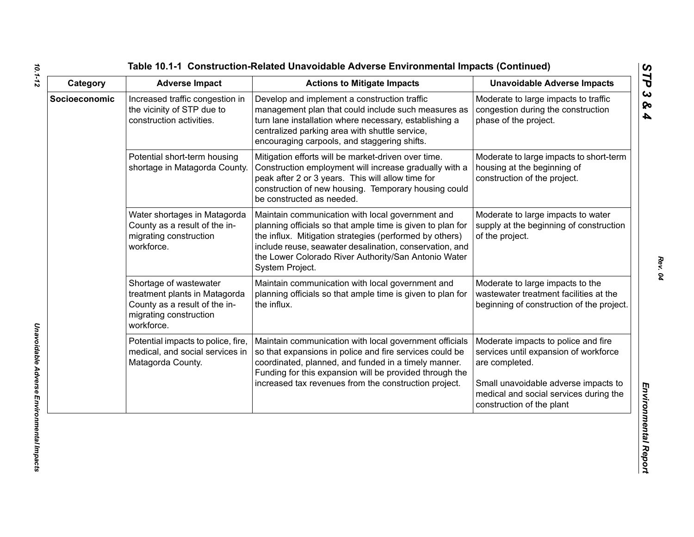| Category      | <b>Adverse Impact</b>                                                                                                            | <b>Actions to Mitigate Impacts</b>                                                                                                                                                                                                                                                                              | <b>Unavoidable Adverse Impacts</b>                                                                                                                                                                            |
|---------------|----------------------------------------------------------------------------------------------------------------------------------|-----------------------------------------------------------------------------------------------------------------------------------------------------------------------------------------------------------------------------------------------------------------------------------------------------------------|---------------------------------------------------------------------------------------------------------------------------------------------------------------------------------------------------------------|
| Socioeconomic | Increased traffic congestion in<br>the vicinity of STP due to<br>construction activities.                                        | Develop and implement a construction traffic<br>management plan that could include such measures as<br>turn lane installation where necessary, establishing a<br>centralized parking area with shuttle service,<br>encouraging carpools, and staggering shifts.                                                 | Moderate to large impacts to traffic<br>congestion during the construction<br>phase of the project.                                                                                                           |
|               | Potential short-term housing<br>shortage in Matagorda County.                                                                    | Mitigation efforts will be market-driven over time.<br>Construction employment will increase gradually with a<br>peak after 2 or 3 years. This will allow time for<br>construction of new housing. Temporary housing could<br>be constructed as needed.                                                         | Moderate to large impacts to short-term<br>housing at the beginning of<br>construction of the project.                                                                                                        |
|               | Water shortages in Matagorda<br>County as a result of the in-<br>migrating construction<br>workforce.                            | Maintain communication with local government and<br>planning officials so that ample time is given to plan for<br>the influx. Mitigation strategies (performed by others)<br>include reuse, seawater desalination, conservation, and<br>the Lower Colorado River Authority/San Antonio Water<br>System Project. | Moderate to large impacts to water<br>supply at the beginning of construction<br>of the project.                                                                                                              |
|               | Shortage of wastewater<br>treatment plants in Matagorda<br>County as a result of the in-<br>migrating construction<br>workforce. | Maintain communication with local government and<br>planning officials so that ample time is given to plan for<br>the influx.                                                                                                                                                                                   | Moderate to large impacts to the<br>wastewater treatment facilities at the<br>beginning of construction of the project.                                                                                       |
|               | Potential impacts to police, fire,<br>medical, and social services in<br>Matagorda County.                                       | Maintain communication with local government officials<br>so that expansions in police and fire services could be<br>coordinated, planned, and funded in a timely manner.<br>Funding for this expansion will be provided through the<br>increased tax revenues from the construction project.                   | Moderate impacts to police and fire<br>services until expansion of workforce<br>are completed.<br>Small unavoidable adverse impacts to<br>medical and social services during the<br>construction of the plant |

*10.1-12*

*Rev. 04*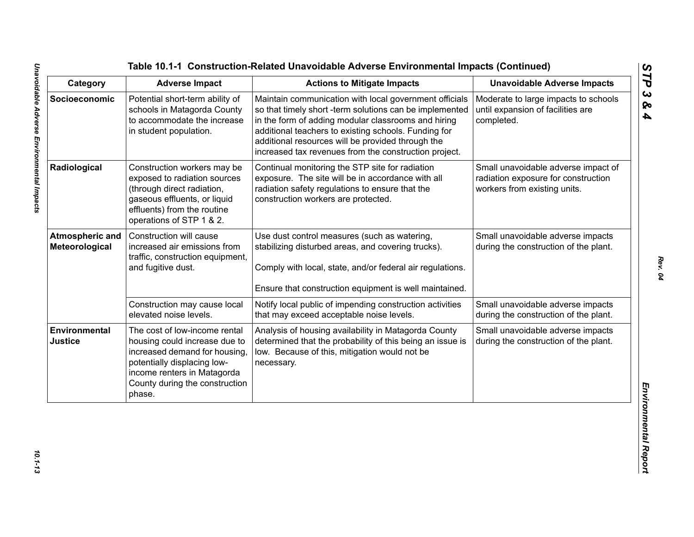| Category                                 | <b>Adverse Impact</b>                                                                                                                                                                                     | <b>Actions to Mitigate Impacts</b>                                                                                                                                                                                                                                                                                                             | <b>Unavoidable Adverse Impacts</b>                                                                         |
|------------------------------------------|-----------------------------------------------------------------------------------------------------------------------------------------------------------------------------------------------------------|------------------------------------------------------------------------------------------------------------------------------------------------------------------------------------------------------------------------------------------------------------------------------------------------------------------------------------------------|------------------------------------------------------------------------------------------------------------|
| Socioeconomic                            | Potential short-term ability of<br>schools in Matagorda County<br>to accommodate the increase<br>in student population.                                                                                   | Maintain communication with local government officials<br>so that timely short -term solutions can be implemented<br>in the form of adding modular classrooms and hiring<br>additional teachers to existing schools. Funding for<br>additional resources will be provided through the<br>increased tax revenues from the construction project. | Moderate to large impacts to schools<br>until expansion of facilities are<br>completed.                    |
| Radiological                             | Construction workers may be<br>exposed to radiation sources<br>(through direct radiation,<br>gaseous effluents, or liquid<br>effluents) from the routine<br>operations of STP 1 & 2.                      | Continual monitoring the STP site for radiation<br>exposure. The site will be in accordance with all<br>radiation safety regulations to ensure that the<br>construction workers are protected.                                                                                                                                                 | Small unavoidable adverse impact of<br>radiation exposure for construction<br>workers from existing units. |
| <b>Atmospheric and</b><br>Meteorological | Construction will cause<br>increased air emissions from<br>traffic, construction equipment,<br>and fugitive dust.                                                                                         | Use dust control measures (such as watering,<br>stabilizing disturbed areas, and covering trucks).<br>Comply with local, state, and/or federal air regulations.<br>Ensure that construction equipment is well maintained.                                                                                                                      | Small unavoidable adverse impacts<br>during the construction of the plant.                                 |
|                                          | Construction may cause local<br>elevated noise levels.                                                                                                                                                    | Notify local public of impending construction activities<br>that may exceed acceptable noise levels.                                                                                                                                                                                                                                           | Small unavoidable adverse impacts<br>during the construction of the plant.                                 |
| Environmental<br><b>Justice</b>          | The cost of low-income rental<br>housing could increase due to<br>increased demand for housing,<br>potentially displacing low-<br>income renters in Matagorda<br>County during the construction<br>phase. | Analysis of housing availability in Matagorda County<br>determined that the probability of this being an issue is<br>low. Because of this, mitigation would not be<br>necessary.                                                                                                                                                               | Small unavoidable adverse impacts<br>during the construction of the plant.                                 |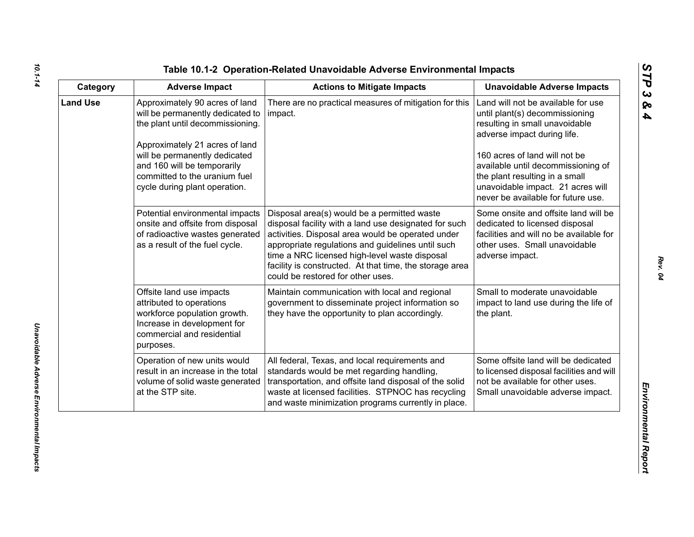| ທ |
|---|
|   |
| C |
| ట |
| ∞ |
| 4 |

| Category        | <b>Adverse Impact</b>                                                                                                                                                                                                                                                      | <b>Actions to Mitigate Impacts</b>                                                                                                                                                                                                                                                                                                                              | <b>Unavoidable Adverse Impacts</b>                                                                                                                                                                                                                                                                                        |
|-----------------|----------------------------------------------------------------------------------------------------------------------------------------------------------------------------------------------------------------------------------------------------------------------------|-----------------------------------------------------------------------------------------------------------------------------------------------------------------------------------------------------------------------------------------------------------------------------------------------------------------------------------------------------------------|---------------------------------------------------------------------------------------------------------------------------------------------------------------------------------------------------------------------------------------------------------------------------------------------------------------------------|
| <b>Land Use</b> | Approximately 90 acres of land<br>will be permanently dedicated to<br>the plant until decommissioning.<br>Approximately 21 acres of land<br>will be permanently dedicated<br>and 160 will be temporarily<br>committed to the uranium fuel<br>cycle during plant operation. | There are no practical measures of mitigation for this<br>impact.                                                                                                                                                                                                                                                                                               | Land will not be available for use<br>until plant(s) decommissioning<br>resulting in small unavoidable<br>adverse impact during life.<br>160 acres of land will not be<br>available until decommissioning of<br>the plant resulting in a small<br>unavoidable impact. 21 acres will<br>never be available for future use. |
|                 | Potential environmental impacts<br>onsite and offsite from disposal<br>of radioactive wastes generated<br>as a result of the fuel cycle.                                                                                                                                   | Disposal area(s) would be a permitted waste<br>disposal facility with a land use designated for such<br>activities. Disposal area would be operated under<br>appropriate regulations and guidelines until such<br>time a NRC licensed high-level waste disposal<br>facility is constructed. At that time, the storage area<br>could be restored for other uses. | Some onsite and offsite land will be<br>dedicated to licensed disposal<br>facilities and will no be available for<br>other uses. Small unavoidable<br>adverse impact.                                                                                                                                                     |
|                 | Offsite land use impacts<br>attributed to operations<br>workforce population growth.<br>Increase in development for<br>commercial and residential<br>purposes.                                                                                                             | Maintain communication with local and regional<br>government to disseminate project information so<br>they have the opportunity to plan accordingly.                                                                                                                                                                                                            | Small to moderate unavoidable<br>impact to land use during the life of<br>the plant.                                                                                                                                                                                                                                      |
|                 | Operation of new units would<br>result in an increase in the total<br>volume of solid waste generated<br>at the STP site.                                                                                                                                                  | All federal, Texas, and local requirements and<br>standards would be met regarding handling,<br>transportation, and offsite land disposal of the solid<br>waste at licensed facilities. STPNOC has recycling<br>and waste minimization programs currently in place.                                                                                             | Some offsite land will be dedicated<br>to licensed disposal facilities and will<br>not be available for other uses.<br>Small unavoidable adverse impact.                                                                                                                                                                  |

# *10.1-14*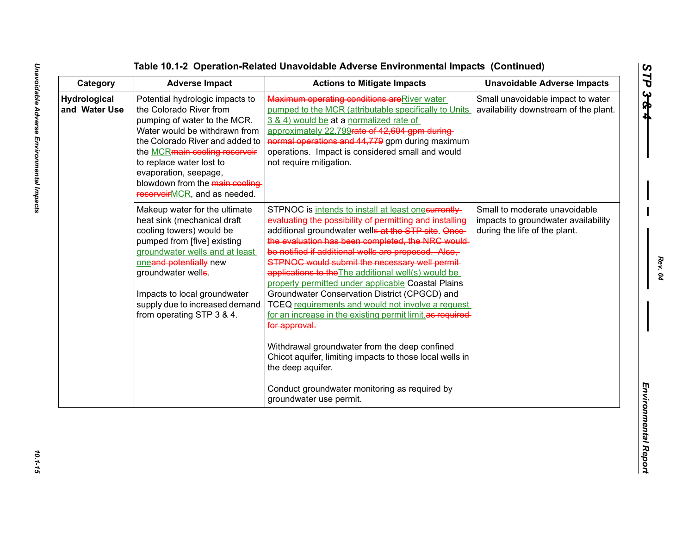| Category                             | <b>Adverse Impact</b>                                                                                                                                                                                                                                                                                                          | <b>Actions to Mitigate Impacts</b>                                                                                                                                                                                                                                                                                                                                                                                                                                                                                                                                                                                                                                                                                                                                                                                                               | <b>Unavoidable Adverse Impacts</b>                                                                    |
|--------------------------------------|--------------------------------------------------------------------------------------------------------------------------------------------------------------------------------------------------------------------------------------------------------------------------------------------------------------------------------|--------------------------------------------------------------------------------------------------------------------------------------------------------------------------------------------------------------------------------------------------------------------------------------------------------------------------------------------------------------------------------------------------------------------------------------------------------------------------------------------------------------------------------------------------------------------------------------------------------------------------------------------------------------------------------------------------------------------------------------------------------------------------------------------------------------------------------------------------|-------------------------------------------------------------------------------------------------------|
| <b>Hydrological</b><br>and Water Use | Potential hydrologic impacts to<br>the Colorado River from<br>pumping of water to the MCR.<br>Water would be withdrawn from<br>the Colorado River and added to<br>the <b>MCRmain cooling reservoir</b><br>to replace water lost to<br>evaporation, seepage,<br>blowdown from the main cooling-<br>reservoirMCR, and as needed. | Maximum operating conditions are River water<br>pumped to the MCR (attributable specifically to Units<br>3 & 4) would be at a normalized rate of<br>approximately 22,799rate of 42,604 gpm during-<br>normal operations and 44,779 gpm during maximum<br>operations. Impact is considered small and would<br>not require mitigation.                                                                                                                                                                                                                                                                                                                                                                                                                                                                                                             | Small unavoidable impact to water<br>availability downstream of the plant.                            |
|                                      | Makeup water for the ultimate<br>heat sink (mechanical draft<br>cooling towers) would be<br>pumped from [five] existing<br>groundwater wells and at least<br>oneand potentially new<br>groundwater wells.<br>Impacts to local groundwater<br>supply due to increased demand<br>from operating STP 3 & 4.                       | STPNOC is intends to install at least onecurrently<br>evaluating the possibility of permitting and installing<br>additional groundwater wells at the STP site. Once-<br>the evaluation has been completed, the NRC would<br>be notified if additional wells are proposed. Also,<br>STPNOC would submit the necessary well permit-<br>applications to the The additional well(s) would be<br>properly permitted under applicable Coastal Plains<br>Groundwater Conservation District (CPGCD) and<br>TCEQ requirements and would not involve a request<br>for an increase in the existing permit limit as required-<br>for approval.<br>Withdrawal groundwater from the deep confined<br>Chicot aquifer, limiting impacts to those local wells in<br>the deep aquifer.<br>Conduct groundwater monitoring as required by<br>groundwater use permit. | Small to moderate unavoidable<br>impacts to groundwater availability<br>during the life of the plant. |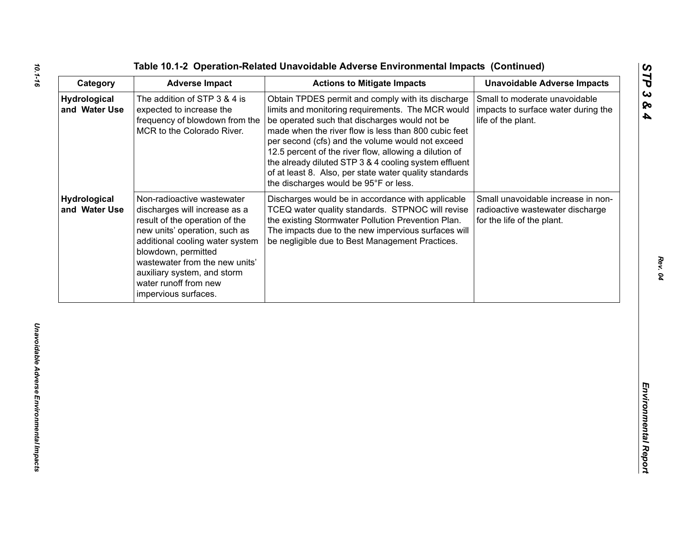|  |  |  | Table 10.1-2 Operation-Related Unavoidable Adverse Environmental Impacts (Continued) |  |
|--|--|--|--------------------------------------------------------------------------------------|--|
|--|--|--|--------------------------------------------------------------------------------------|--|

| Category                      | <b>Adverse Impact</b>                                                                                                                                                                                                                                                                                      | <b>Actions to Mitigate Impacts</b>                                                                                                                                                                                                                                                                                                                                                                                                                                                        | <b>Unavoidable Adverse Impacts</b>                                                                   |
|-------------------------------|------------------------------------------------------------------------------------------------------------------------------------------------------------------------------------------------------------------------------------------------------------------------------------------------------------|-------------------------------------------------------------------------------------------------------------------------------------------------------------------------------------------------------------------------------------------------------------------------------------------------------------------------------------------------------------------------------------------------------------------------------------------------------------------------------------------|------------------------------------------------------------------------------------------------------|
| Hydrological<br>and Water Use | The addition of STP 3 & 4 is<br>expected to increase the<br>frequency of blowdown from the<br>MCR to the Colorado River.                                                                                                                                                                                   | Obtain TPDES permit and comply with its discharge<br>limits and monitoring requirements. The MCR would<br>be operated such that discharges would not be<br>made when the river flow is less than 800 cubic feet<br>per second (cfs) and the volume would not exceed<br>12.5 percent of the river flow, allowing a dilution of<br>the already diluted STP 3 & 4 cooling system effluent<br>of at least 8. Also, per state water quality standards<br>the discharges would be 95°F or less. | Small to moderate unavoidable<br>impacts to surface water during the<br>life of the plant.           |
| Hydrological<br>and Water Use | Non-radioactive wastewater<br>discharges will increase as a<br>result of the operation of the<br>new units' operation, such as<br>additional cooling water system<br>blowdown, permitted<br>wastewater from the new units'<br>auxiliary system, and storm<br>water runoff from new<br>impervious surfaces. | Discharges would be in accordance with applicable<br>TCEQ water quality standards. STPNOC will revise<br>the existing Stormwater Pollution Prevention Plan.<br>The impacts due to the new impervious surfaces will<br>be negligible due to Best Management Practices.                                                                                                                                                                                                                     | Small unavoidable increase in non-<br>radioactive wastewater discharge<br>for the life of the plant. |
|                               |                                                                                                                                                                                                                                                                                                            |                                                                                                                                                                                                                                                                                                                                                                                                                                                                                           |                                                                                                      |
|                               |                                                                                                                                                                                                                                                                                                            |                                                                                                                                                                                                                                                                                                                                                                                                                                                                                           |                                                                                                      |
|                               |                                                                                                                                                                                                                                                                                                            |                                                                                                                                                                                                                                                                                                                                                                                                                                                                                           |                                                                                                      |
|                               |                                                                                                                                                                                                                                                                                                            |                                                                                                                                                                                                                                                                                                                                                                                                                                                                                           |                                                                                                      |
|                               |                                                                                                                                                                                                                                                                                                            |                                                                                                                                                                                                                                                                                                                                                                                                                                                                                           |                                                                                                      |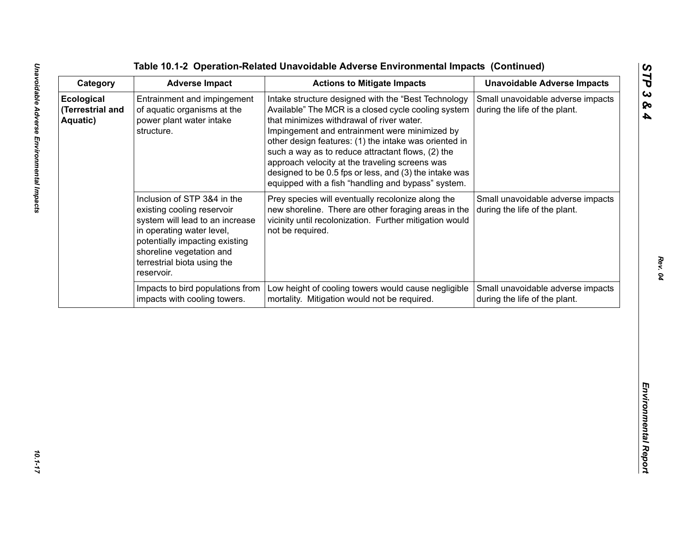The Catalogny<br>
Catagory<br>
Catagory<br>
Controlline in Adviserie Inner Advisering and the Advisering and Controlline in Advisering and Advisering and Unavoidable Advisering method<br>
Encorposite consistence in this consistency an

Unavoidable Adverse Environmental Impacts

*Rev. 04*